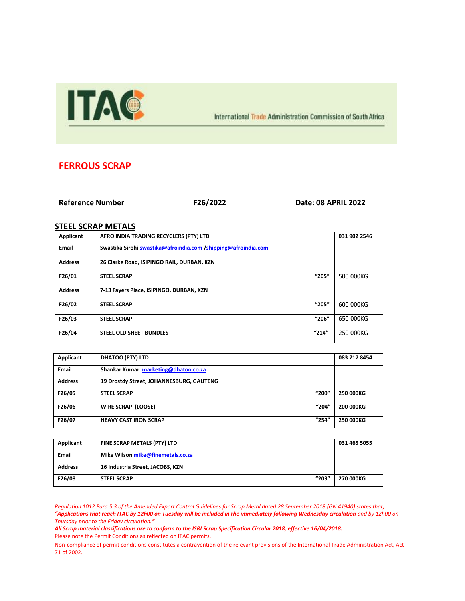

International Trade Administration Commission of South Africa

## **FERROUS SCRAP**

## **Reference Number F26/2022 Date: 08 APRIL 2022**

## **STEEL SCRAP METALS**

| Applicant      | AFRO INDIA TRADING RECYCLERS (PTY) LTD                         |       | 031 902 2546 |
|----------------|----------------------------------------------------------------|-------|--------------|
| Email          | Swastika Sirohi swastika@afroindia.com /shipping@afroindia.com |       |              |
| <b>Address</b> | 26 Clarke Road, ISIPINGO RAIL, DURBAN, KZN                     |       |              |
| F26/01         | <b>STEEL SCRAP</b>                                             | "205" | 500 000KG    |
| <b>Address</b> | 7-13 Fayers Place, ISIPINGO, DURBAN, KZN                       |       |              |
| F26/02         | <b>STEEL SCRAP</b>                                             | "205" | 600 000KG    |
| F26/03         | <b>STEEL SCRAP</b>                                             | "206" | 650 000KG    |
| F26/04         | "214"<br><b>STEEL OLD SHEET BUNDLES</b>                        |       | 250 000KG    |

| Applicant      | <b>DHATOO (PTY) LTD</b>                  | 083 717 8454     |
|----------------|------------------------------------------|------------------|
| <b>Email</b>   | Shankar Kumar marketing@dhatoo.co.za     |                  |
| <b>Address</b> | 19 Drostdy Street, JOHANNESBURG, GAUTENG |                  |
| F26/05         | "200"<br><b>STEEL SCRAP</b>              | <b>250 000KG</b> |
| F26/06         | "204"<br>WIRE SCRAP (LOOSE)              | <b>200 000KG</b> |
| F26/07         | "254"<br><b>HEAVY CAST IRON SCRAP</b>    | 250 000KG        |

| Applicant      | FINE SCRAP METALS (PTY) LTD       | 031 465 5055 |
|----------------|-----------------------------------|--------------|
| Email          | Mike Wilson mike@finemetals.co.za |              |
| <b>Address</b> | 16 Industria Street, JACOBS, KZN  |              |
| F26/08         | "203"<br><b>STEEL SCRAP</b>       | 270 000KG    |

*Regulation 1012 Para 5.3 of the Amended Export Control Guidelines for Scrap Metal dated 28 September 2018 (GN 41940) states that, "Applications that reach ITAC by 12h00 on Tuesday will be included in the immediately following Wednesday circulation and by 12h00 on Thursday prior to the Friday circulation."*

*All Scrap material classifications are to conform to the ISRI Scrap Specification Circular 2018, effective 16/04/2018.* Please note the Permit Conditions as reflected on ITAC permits.

Non-compliance of permit conditions constitutes a contravention of the relevant provisions of the International Trade Administration Act, Act 71 of 2002.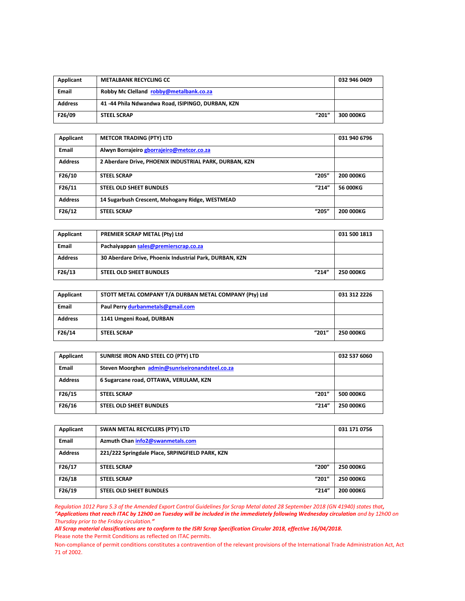| Applicant      | <b>METALBANK RECYCLING CC</b>                    | 032 946 0409 |
|----------------|--------------------------------------------------|--------------|
| <b>Email</b>   | Robby Mc Clelland robby@metalbank.co.za          |              |
| <b>Address</b> | 41-44 Phila Ndwandwa Road, ISIPINGO, DURBAN, KZN |              |
| F26/09         | "201"<br><b>STEEL SCRAP</b>                      | 300 000KG    |

| Applicant      | <b>METCOR TRADING (PTY) LTD</b>                        |       | 031 940 6796     |
|----------------|--------------------------------------------------------|-------|------------------|
| <b>Email</b>   | Alwyn Borrajeiro gborrajeiro@metcor.co.za              |       |                  |
| <b>Address</b> | 2 Aberdare Drive, PHOENIX INDUSTRIAL PARK, DURBAN, KZN |       |                  |
| F26/10         | <b>STEEL SCRAP</b>                                     | "205" | <b>200 000KG</b> |
| F26/11         | <b>STEEL OLD SHEET BUNDLES</b>                         | "214" | 56 000KG         |
| <b>Address</b> | 14 Sugarbush Crescent, Mohogany Ridge, WESTMEAD        |       |                  |
| F26/12         | <b>STEEL SCRAP</b>                                     | "205" | <b>200 000KG</b> |

| Applicant      | PREMIER SCRAP METAL (Pty) Ltd                           | 031 500 1813 |
|----------------|---------------------------------------------------------|--------------|
| <b>Email</b>   | Pachaiyappan sales@premierscrap.co.za                   |              |
| <b>Address</b> | 30 Aberdare Drive, Phoenix Industrial Park, DURBAN, KZN |              |
| F26/13         | "214"<br><b>STEEL OLD SHEET BUNDLES</b>                 | 250 000KG    |

| Applicant      | STOTT METAL COMPANY T/A DURBAN METAL COMPANY (Pty) Ltd | 031 312 2226 |
|----------------|--------------------------------------------------------|--------------|
| <b>Email</b>   | Paul Perry durbanmetals@gmail.com                      |              |
| <b>Address</b> | 1141 Umgeni Road, DURBAN                               |              |
| F26/14         | "201"<br><b>STEEL SCRAP</b>                            | 250 000KG    |

| Applicant      | SUNRISE IRON AND STEEL CO (PTY) LTD             | 032 537 6060 |
|----------------|-------------------------------------------------|--------------|
| <b>Email</b>   | Steven Moorghen admin@sunriseironandsteel.co.za |              |
| <b>Address</b> | 6 Sugarcane road, OTTAWA, VERULAM, KZN          |              |
| F26/15         | "201"<br><b>STEEL SCRAP</b>                     | 500 000KG    |
| F26/16         | "214"<br>STEEL OLD SHEET BUNDLES                | 250 000KG    |

| Applicant      | SWAN METAL RECYCLERS (PTY) LTD                  | 031 171 0756     |
|----------------|-------------------------------------------------|------------------|
| <b>Email</b>   | Azmuth Chan info2@swanmetals.com                |                  |
| <b>Address</b> | 221/222 Springdale Place, SRPINGFIELD PARK, KZN |                  |
| F26/17         | "200"<br><b>STEEL SCRAP</b>                     | <b>250 000KG</b> |
| F26/18         | "201"<br><b>STEEL SCRAP</b>                     | <b>250 000KG</b> |
| F26/19         | "214"<br><b>STEEL OLD SHEET BUNDLES</b>         | 200 000KG        |

*Regulation 1012 Para 5.3 of the Amended Export Control Guidelines for Scrap Metal dated 28 September 2018 (GN 41940) states that, "Applications that reach ITAC by 12h00 on Tuesday will be included in the immediately following Wednesday circulation and by 12h00 on Thursday prior to the Friday circulation."*

*All Scrap material classifications are to conform to the ISRI Scrap Specification Circular 2018, effective 16/04/2018.* Please note the Permit Conditions as reflected on ITAC permits.

Non-compliance of permit conditions constitutes a contravention of the relevant provisions of the International Trade Administration Act, Act 71 of 2002.